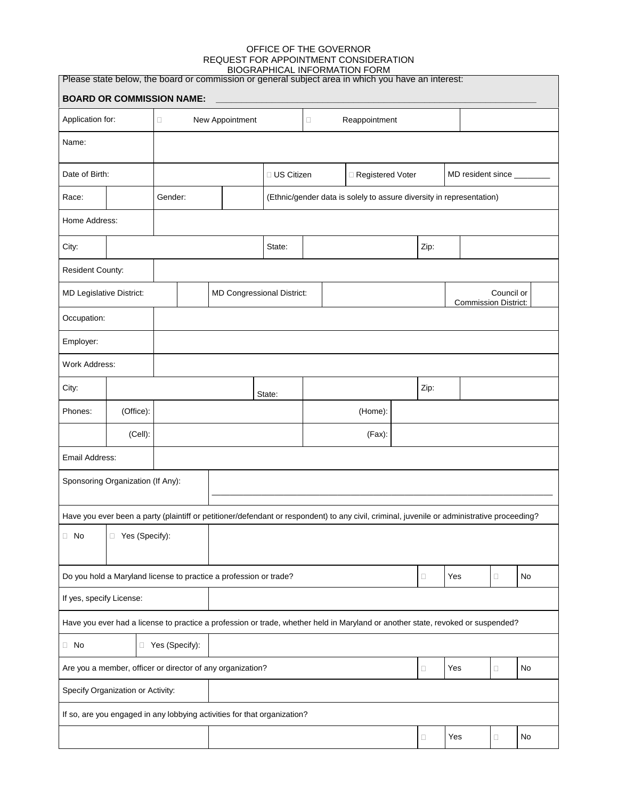#### OFFICE OF THE GOVERNOR REQUEST FOR APPOINTMENT CONSIDERATION BIOGRAPHICAL INFORMATION FORM

| Please state below, the board or commission or general subject area in which you have an interest:<br><b>BOARD OR COMMISSION NAME:</b>      |                  |                           |  |                                   |                                    |                                                                      |                         |      |                            |        |     |                                           |    |  |
|---------------------------------------------------------------------------------------------------------------------------------------------|------------------|---------------------------|--|-----------------------------------|------------------------------------|----------------------------------------------------------------------|-------------------------|------|----------------------------|--------|-----|-------------------------------------------|----|--|
| Application for:                                                                                                                            |                  | New Appointment<br>$\Box$ |  |                                   |                                    |                                                                      | Reappointment<br>$\Box$ |      |                            |        |     |                                           |    |  |
| Name:                                                                                                                                       |                  |                           |  |                                   |                                    |                                                                      |                         |      |                            |        |     |                                           |    |  |
| Date of Birth:                                                                                                                              |                  |                           |  |                                   | □ US Citizen<br>□ Registered Voter |                                                                      |                         |      | MD resident since ________ |        |     |                                           |    |  |
| Race:                                                                                                                                       |                  | Gender:                   |  |                                   |                                    | (Ethnic/gender data is solely to assure diversity in representation) |                         |      |                            |        |     |                                           |    |  |
| Home Address:                                                                                                                               |                  |                           |  |                                   |                                    |                                                                      |                         |      |                            |        |     |                                           |    |  |
| City:                                                                                                                                       |                  |                           |  | State:                            |                                    |                                                                      |                         | Zip: |                            |        |     |                                           |    |  |
| Resident County:                                                                                                                            |                  |                           |  |                                   |                                    |                                                                      |                         |      |                            |        |     |                                           |    |  |
| MD Legislative District:                                                                                                                    |                  |                           |  | <b>MD Congressional District:</b> |                                    |                                                                      |                         |      |                            |        |     | Council or<br><b>Commission District:</b> |    |  |
| Occupation:                                                                                                                                 |                  |                           |  |                                   |                                    |                                                                      |                         |      |                            |        |     |                                           |    |  |
| Employer:                                                                                                                                   |                  |                           |  |                                   |                                    |                                                                      |                         |      |                            |        |     |                                           |    |  |
| <b>Work Address:</b>                                                                                                                        |                  |                           |  |                                   |                                    |                                                                      |                         |      |                            |        |     |                                           |    |  |
| City:                                                                                                                                       |                  |                           |  |                                   | State:                             |                                                                      |                         |      |                            | Zip:   |     |                                           |    |  |
| Phones:                                                                                                                                     | (Office):        | (Home):                   |  |                                   |                                    |                                                                      |                         |      |                            |        |     |                                           |    |  |
|                                                                                                                                             | (Cell):          |                           |  | (Fax):                            |                                    |                                                                      |                         |      |                            |        |     |                                           |    |  |
| Email Address:                                                                                                                              |                  |                           |  |                                   |                                    |                                                                      |                         |      |                            |        |     |                                           |    |  |
| Sponsoring Organization (If Any):                                                                                                           |                  |                           |  |                                   |                                    |                                                                      |                         |      |                            |        |     |                                           |    |  |
| Have you ever been a party (plaintiff or petitioner/defendant or respondent) to any civil, criminal, juvenile or administrative proceeding? |                  |                           |  |                                   |                                    |                                                                      |                         |      |                            |        |     |                                           |    |  |
| $\Box$ No                                                                                                                                   | □ Yes (Specify): |                           |  |                                   |                                    |                                                                      |                         |      |                            |        |     |                                           |    |  |
| Do you hold a Maryland license to practice a profession or trade?                                                                           |                  |                           |  |                                   |                                    |                                                                      |                         |      | $\Box$                     | Yes    | 0   | No                                        |    |  |
| If yes, specify License:                                                                                                                    |                  |                           |  |                                   |                                    |                                                                      |                         |      |                            |        |     |                                           |    |  |
| Have you ever had a license to practice a profession or trade, whether held in Maryland or another state, revoked or suspended?             |                  |                           |  |                                   |                                    |                                                                      |                         |      |                            |        |     |                                           |    |  |
| □ Yes (Specify):<br>$\Box$ No                                                                                                               |                  |                           |  |                                   |                                    |                                                                      |                         |      |                            |        |     |                                           |    |  |
| Are you a member, officer or director of any organization?                                                                                  |                  |                           |  |                                   |                                    |                                                                      |                         |      |                            | $\Box$ | Yes | 0                                         | No |  |
| Specify Organization or Activity:                                                                                                           |                  |                           |  |                                   |                                    |                                                                      |                         |      |                            |        |     |                                           |    |  |
| If so, are you engaged in any lobbying activities for that organization?                                                                    |                  |                           |  |                                   |                                    |                                                                      |                         |      |                            |        |     |                                           |    |  |
|                                                                                                                                             |                  |                           |  |                                   |                                    |                                                                      |                         |      |                            | $\Box$ | Yes | о                                         | No |  |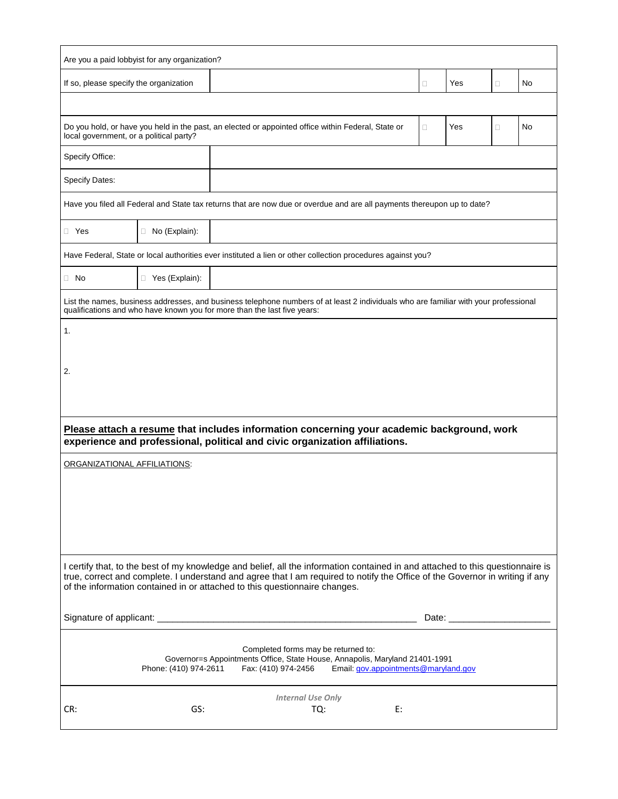| Are you a paid lobbyist for any organization?                                                                                                                                                                                                                                                                                                |                      |  |                          |    |        |     |        |    |  |  |
|----------------------------------------------------------------------------------------------------------------------------------------------------------------------------------------------------------------------------------------------------------------------------------------------------------------------------------------------|----------------------|--|--------------------------|----|--------|-----|--------|----|--|--|
| If so, please specify the organization                                                                                                                                                                                                                                                                                                       |                      |  |                          |    | $\Box$ | Yes | $\Box$ | No |  |  |
|                                                                                                                                                                                                                                                                                                                                              |                      |  |                          |    |        |     |        |    |  |  |
| Do you hold, or have you held in the past, an elected or appointed office within Federal, State or<br>local government, or a political party?                                                                                                                                                                                                |                      |  |                          |    | П      | Yes | $\Box$ | No |  |  |
| Specify Office:                                                                                                                                                                                                                                                                                                                              |                      |  |                          |    |        |     |        |    |  |  |
| Specify Dates:                                                                                                                                                                                                                                                                                                                               |                      |  |                          |    |        |     |        |    |  |  |
| Have you filed all Federal and State tax returns that are now due or overdue and are all payments thereupon up to date?                                                                                                                                                                                                                      |                      |  |                          |    |        |     |        |    |  |  |
| $\Box$ Yes                                                                                                                                                                                                                                                                                                                                   | $\Box$ No (Explain): |  |                          |    |        |     |        |    |  |  |
| Have Federal, State or local authorities ever instituted a lien or other collection procedures against you?                                                                                                                                                                                                                                  |                      |  |                          |    |        |     |        |    |  |  |
| $\Box$ No                                                                                                                                                                                                                                                                                                                                    | □ Yes (Explain):     |  |                          |    |        |     |        |    |  |  |
| List the names, business addresses, and business telephone numbers of at least 2 individuals who are familiar with your professional<br>qualifications and who have known you for more than the last five years:                                                                                                                             |                      |  |                          |    |        |     |        |    |  |  |
| 1.                                                                                                                                                                                                                                                                                                                                           |                      |  |                          |    |        |     |        |    |  |  |
|                                                                                                                                                                                                                                                                                                                                              |                      |  |                          |    |        |     |        |    |  |  |
| 2.                                                                                                                                                                                                                                                                                                                                           |                      |  |                          |    |        |     |        |    |  |  |
|                                                                                                                                                                                                                                                                                                                                              |                      |  |                          |    |        |     |        |    |  |  |
| Please attach a resume that includes information concerning your academic background, work<br>experience and professional, political and civic organization affiliations.                                                                                                                                                                    |                      |  |                          |    |        |     |        |    |  |  |
| ORGANIZATIONAL AFFILIATIONS:                                                                                                                                                                                                                                                                                                                 |                      |  |                          |    |        |     |        |    |  |  |
|                                                                                                                                                                                                                                                                                                                                              |                      |  |                          |    |        |     |        |    |  |  |
|                                                                                                                                                                                                                                                                                                                                              |                      |  |                          |    |        |     |        |    |  |  |
|                                                                                                                                                                                                                                                                                                                                              |                      |  |                          |    |        |     |        |    |  |  |
|                                                                                                                                                                                                                                                                                                                                              |                      |  |                          |    |        |     |        |    |  |  |
| I certify that, to the best of my knowledge and belief, all the information contained in and attached to this questionnaire is<br>true, correct and complete. I understand and agree that I am required to notify the Office of the Governor in writing if any<br>of the information contained in or attached to this questionnaire changes. |                      |  |                          |    |        |     |        |    |  |  |
|                                                                                                                                                                                                                                                                                                                                              |                      |  |                          |    |        |     |        |    |  |  |
|                                                                                                                                                                                                                                                                                                                                              |                      |  |                          |    |        |     |        |    |  |  |
| Completed forms may be returned to:<br>Governor=s Appointments Office, State House, Annapolis, Maryland 21401-1991<br>Phone: (410) 974-2611<br>Fax: (410) 974-2456<br>Email: gov.appointments@maryland.gov                                                                                                                                   |                      |  |                          |    |        |     |        |    |  |  |
|                                                                                                                                                                                                                                                                                                                                              |                      |  | <b>Internal Use Only</b> |    |        |     |        |    |  |  |
| CR:                                                                                                                                                                                                                                                                                                                                          | GS:                  |  | TQ:                      | E: |        |     |        |    |  |  |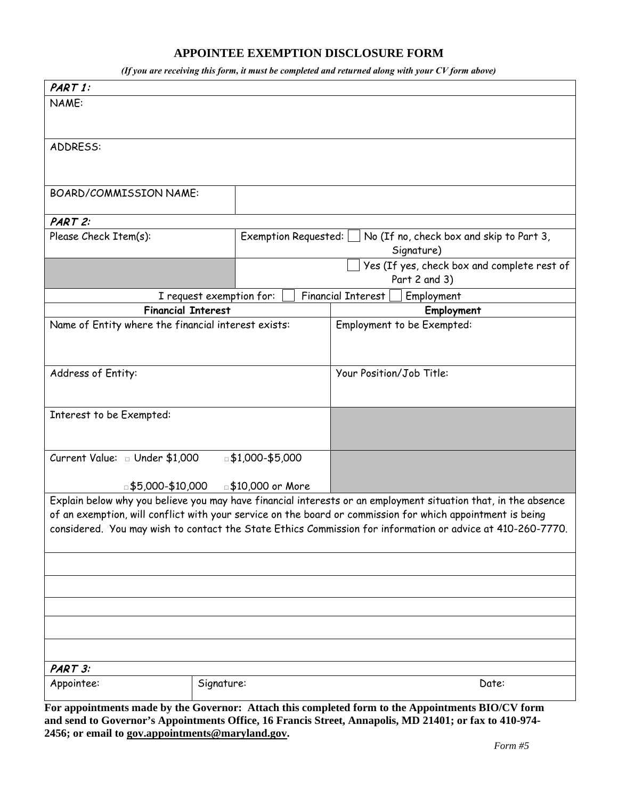## **APPOINTEE EXEMPTION DISCLOSURE FORM**

*(If you are receiving this form, it must be completed and returned along with your CV form above)* 

| PART 1:                                                                                                    |                          |                                                                      |  |                          |                                                                                                                |  |  |  |  |
|------------------------------------------------------------------------------------------------------------|--------------------------|----------------------------------------------------------------------|--|--------------------------|----------------------------------------------------------------------------------------------------------------|--|--|--|--|
| NAME:                                                                                                      |                          |                                                                      |  |                          |                                                                                                                |  |  |  |  |
|                                                                                                            |                          |                                                                      |  |                          |                                                                                                                |  |  |  |  |
|                                                                                                            |                          |                                                                      |  |                          |                                                                                                                |  |  |  |  |
| ADDRESS:                                                                                                   |                          |                                                                      |  |                          |                                                                                                                |  |  |  |  |
|                                                                                                            |                          |                                                                      |  |                          |                                                                                                                |  |  |  |  |
|                                                                                                            |                          |                                                                      |  |                          |                                                                                                                |  |  |  |  |
| BOARD/COMMISSION NAME:                                                                                     |                          |                                                                      |  |                          |                                                                                                                |  |  |  |  |
| PART 2:                                                                                                    |                          |                                                                      |  |                          |                                                                                                                |  |  |  |  |
| Please Check Item(s):                                                                                      |                          | Exemption Requested: $\Box$ No (If no, check box and skip to Part 3, |  |                          |                                                                                                                |  |  |  |  |
|                                                                                                            |                          |                                                                      |  | Signature)               |                                                                                                                |  |  |  |  |
|                                                                                                            |                          |                                                                      |  |                          | Yes (If yes, check box and complete rest of                                                                    |  |  |  |  |
|                                                                                                            |                          |                                                                      |  | Part 2 and 3)            |                                                                                                                |  |  |  |  |
|                                                                                                            | I request exemption for: |                                                                      |  | Financial Interest       | Employment                                                                                                     |  |  |  |  |
| <b>Financial Interest</b>                                                                                  |                          |                                                                      |  |                          | Employment                                                                                                     |  |  |  |  |
| Name of Entity where the financial interest exists:                                                        |                          |                                                                      |  |                          | Employment to be Exempted:                                                                                     |  |  |  |  |
|                                                                                                            |                          |                                                                      |  |                          |                                                                                                                |  |  |  |  |
|                                                                                                            |                          |                                                                      |  |                          |                                                                                                                |  |  |  |  |
| Address of Entity:                                                                                         |                          |                                                                      |  | Your Position/Job Title: |                                                                                                                |  |  |  |  |
|                                                                                                            |                          |                                                                      |  |                          |                                                                                                                |  |  |  |  |
|                                                                                                            |                          |                                                                      |  |                          |                                                                                                                |  |  |  |  |
| Interest to be Exempted:                                                                                   |                          |                                                                      |  |                          |                                                                                                                |  |  |  |  |
|                                                                                                            |                          |                                                                      |  |                          |                                                                                                                |  |  |  |  |
| Current Value: Dunder \$1,000                                                                              | □ \$1,000-\$5,000        |                                                                      |  |                          |                                                                                                                |  |  |  |  |
|                                                                                                            |                          |                                                                      |  |                          |                                                                                                                |  |  |  |  |
| □\$5,000-\$10,000 □\$10,000 or More                                                                        |                          |                                                                      |  |                          |                                                                                                                |  |  |  |  |
|                                                                                                            |                          |                                                                      |  |                          | Explain below why you believe you may have financial interests or an employment situation that, in the absence |  |  |  |  |
| of an exemption, will conflict with your service on the board or commission for which appointment is being |                          |                                                                      |  |                          |                                                                                                                |  |  |  |  |
| considered. You may wish to contact the State Ethics Commission for information or advice at 410-260-7770. |                          |                                                                      |  |                          |                                                                                                                |  |  |  |  |
|                                                                                                            |                          |                                                                      |  |                          |                                                                                                                |  |  |  |  |
|                                                                                                            |                          |                                                                      |  |                          |                                                                                                                |  |  |  |  |
|                                                                                                            |                          |                                                                      |  |                          |                                                                                                                |  |  |  |  |
|                                                                                                            |                          |                                                                      |  |                          |                                                                                                                |  |  |  |  |
|                                                                                                            |                          |                                                                      |  |                          |                                                                                                                |  |  |  |  |
|                                                                                                            |                          |                                                                      |  |                          |                                                                                                                |  |  |  |  |
| PART 3:                                                                                                    |                          |                                                                      |  |                          |                                                                                                                |  |  |  |  |
| Appointee:                                                                                                 | Signature:               |                                                                      |  |                          | Date:                                                                                                          |  |  |  |  |
|                                                                                                            |                          |                                                                      |  |                          |                                                                                                                |  |  |  |  |

**For appointments made by the Governor: Attach this completed form to the Appointments BIO/CV form and send to Governor's Appointments Office, 16 Francis Street, Annapolis, MD 21401; or fax to 410-974- 2456; or email to [gov.appointments@maryland.gov.](mailto:gov.appointments@maryland.gov)**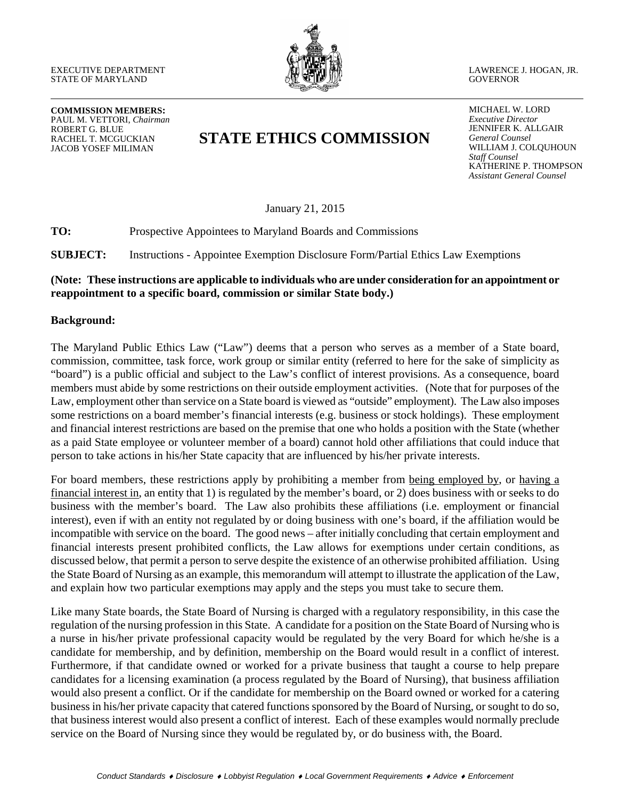

LAWRENCE J. HOGAN, JR. GOVERNOR

**COMMISSION MEMBERS:** PAUL M. VETTORI, *Chairman* ROBERT G. BLUE RACHEL T. MCGUCKIAN JACOB YOSEF MILIMAN

# **STATE ETHICS COMMISSION**

MICHAEL W. LORD *Executive Director*  JENNIFER K. ALLGAIR *General Counsel* WILLIAM J. COLQUHOUN *Staff Counsel* KATHERINE P. THOMPSON *Assistant General Counsel*

January 21, 2015

**TO:** Prospective Appointees to Maryland Boards and Commissions

**SUBJECT:** Instructions - Appointee Exemption Disclosure Form/Partial Ethics Law Exemptions

### **(Note: These instructions are applicable to individuals who are under consideration for an appointment or reappointment to a specific board, commission or similar State body.)**

#### **Background:**

The Maryland Public Ethics Law ("Law") deems that a person who serves as a member of a State board, commission, committee, task force, work group or similar entity (referred to here for the sake of simplicity as "board") is a public official and subject to the Law's conflict of interest provisions. As a consequence, board members must abide by some restrictions on their outside employment activities. (Note that for purposes of the Law, employment other than service on a State board is viewed as "outside" employment). The Law also imposes some restrictions on a board member's financial interests (e.g. business or stock holdings). These employment and financial interest restrictions are based on the premise that one who holds a position with the State (whether as a paid State employee or volunteer member of a board) cannot hold other affiliations that could induce that person to take actions in his/her State capacity that are influenced by his/her private interests.

For board members, these restrictions apply by prohibiting a member from being employed by, or having a financial interest in, an entity that 1) is regulated by the member's board, or 2) does business with or seeks to do business with the member's board. The Law also prohibits these affiliations (i.e. employment or financial interest), even if with an entity not regulated by or doing business with one's board, if the affiliation would be incompatible with service on the board. The good news – after initially concluding that certain employment and financial interests present prohibited conflicts, the Law allows for exemptions under certain conditions, as discussed below, that permit a person to serve despite the existence of an otherwise prohibited affiliation. Using the State Board of Nursing as an example, this memorandum will attempt to illustrate the application of the Law, and explain how two particular exemptions may apply and the steps you must take to secure them.

Like many State boards, the State Board of Nursing is charged with a regulatory responsibility, in this case the regulation of the nursing profession in this State. A candidate for a position on the State Board of Nursing who is a nurse in his/her private professional capacity would be regulated by the very Board for which he/she is a candidate for membership, and by definition, membership on the Board would result in a conflict of interest. Furthermore, if that candidate owned or worked for a private business that taught a course to help prepare candidates for a licensing examination (a process regulated by the Board of Nursing), that business affiliation would also present a conflict. Or if the candidate for membership on the Board owned or worked for a catering business in his/her private capacity that catered functions sponsored by the Board of Nursing, or sought to do so, that business interest would also present a conflict of interest. Each of these examples would normally preclude service on the Board of Nursing since they would be regulated by, or do business with, the Board.